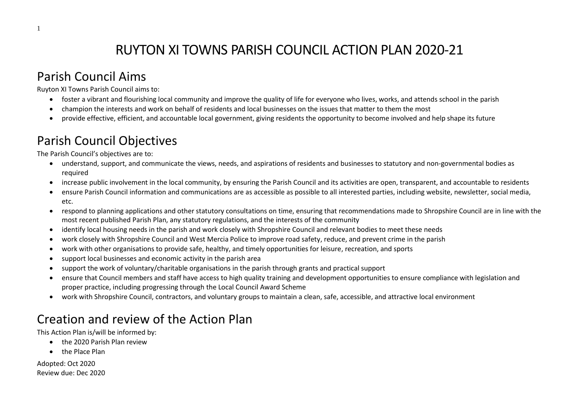# RUYTON XI TOWNS PARISH COUNCIL ACTION PLAN 2020-21

### Parish Council Aims

Ruyton XI Towns Parish Council aims to:

- foster a vibrant and flourishing local community and improve the quality of life for everyone who lives, works, and attends school in the parish
- champion the interests and work on behalf of residents and local businesses on the issues that matter to them the most
- provide effective, efficient, and accountable local government, giving residents the opportunity to become involved and help shape its future

# Parish Council Objectives

The Parish Council's objectives are to:

- understand, support, and communicate the views, needs, and aspirations of residents and businesses to statutory and non-governmental bodies as required
- increase public involvement in the local community, by ensuring the Parish Council and its activities are open, transparent, and accountable to residents
- ensure Parish Council information and communications are as accessible as possible to all interested parties, including website, newsletter, social media, etc.
- respond to planning applications and other statutory consultations on time, ensuring that recommendations made to Shropshire Council are in line with the most recent published Parish Plan, any statutory regulations, and the interests of the community
- identify local housing needs in the parish and work closely with Shropshire Council and relevant bodies to meet these needs
- work closely with Shropshire Council and West Mercia Police to improve road safety, reduce, and prevent crime in the parish
- work with other organisations to provide safe, healthy, and timely opportunities for leisure, recreation, and sports
- support local businesses and economic activity in the parish area
- support the work of voluntary/charitable organisations in the parish through grants and practical support
- ensure that Council members and staff have access to high quality training and development opportunities to ensure compliance with legislation and proper practice, including progressing through the Local Council Award Scheme
- work with Shropshire Council, contractors, and voluntary groups to maintain a clean, safe, accessible, and attractive local environment

# Creation and review of the Action Plan

This Action Plan is/will be informed by:

- the 2020 Parish Plan review
- the Place Plan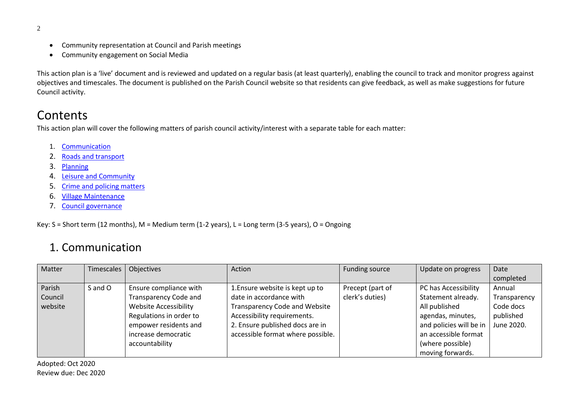- 2
- Community representation at Council and Parish meetings
- Community engagement on Social Media

This action plan is a 'live' document and is reviewed and updated on a regular basis (at least quarterly), enabling the council to track and monitor progress against objectives and timescales. The document is published on the Parish Council website so that residents can give feedback, as well as make suggestions for future Council activity.

#### **Contents**

This action plan will cover the following matters of parish council activity/interest with a separate table for each matter:

- 1. [Communication](#page-1-0)
- 2. [Roads and transport](#page-3-0)
- 3. [Planning](#page-4-0)
- 4. [Leisure and Community](#page-6-0)
- 5. Crime [and policing matters](#page-8-0)
- 6. [Village Maintenance](#page-8-1)
- 7. [Council governance](#page-10-0)

Key: S = Short term (12 months), M = Medium term (1-2 years), L = Long term (3-5 years), O = Ongoing

#### 1. Communication

<span id="page-1-0"></span>

| Matter  | Timescales | Objectives                   | Action                            | <b>Funding source</b> | Update on progress      | Date         |
|---------|------------|------------------------------|-----------------------------------|-----------------------|-------------------------|--------------|
|         |            |                              |                                   |                       |                         | completed    |
| Parish  | S and O    | Ensure compliance with       | 1. Ensure website is kept up to   | Precept (part of      | PC has Accessibility    | Annual       |
| Council |            | <b>Transparency Code and</b> | date in accordance with           | clerk's duties)       | Statement already.      | Transparency |
| website |            | <b>Website Accessibility</b> | Transparency Code and Website     |                       | All published           | Code docs    |
|         |            | Regulations in order to      | Accessibility requirements.       |                       | agendas, minutes,       | published    |
|         |            | empower residents and        | 2. Ensure published docs are in   |                       | and policies will be in | June 2020.   |
|         |            | increase democratic          | accessible format where possible. |                       | an accessible format    |              |
|         |            | accountability               |                                   |                       | (where possible)        |              |
|         |            |                              |                                   |                       | moving forwards.        |              |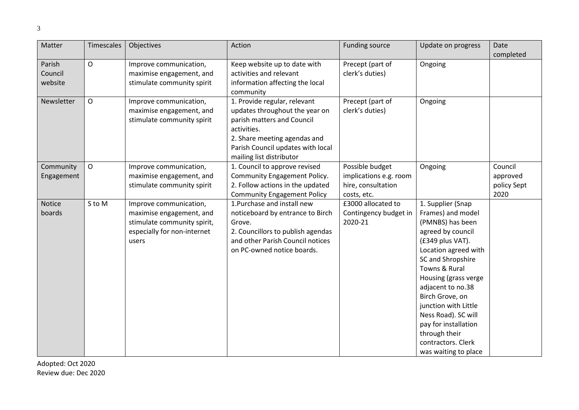| Matter                       | Timescales   | Objectives                                                                                                                | Action                                                                                                                                                                                                       | <b>Funding source</b>                                                          | Update on progress                                                                                                                                                                                                                                                                                                                                                      | Date                                       |
|------------------------------|--------------|---------------------------------------------------------------------------------------------------------------------------|--------------------------------------------------------------------------------------------------------------------------------------------------------------------------------------------------------------|--------------------------------------------------------------------------------|-------------------------------------------------------------------------------------------------------------------------------------------------------------------------------------------------------------------------------------------------------------------------------------------------------------------------------------------------------------------------|--------------------------------------------|
|                              |              |                                                                                                                           |                                                                                                                                                                                                              |                                                                                |                                                                                                                                                                                                                                                                                                                                                                         | completed                                  |
| Parish<br>Council<br>website | $\mathsf{O}$ | Improve communication,<br>maximise engagement, and<br>stimulate community spirit                                          | Keep website up to date with<br>activities and relevant<br>information affecting the local<br>community                                                                                                      | Precept (part of<br>clerk's duties)                                            | Ongoing                                                                                                                                                                                                                                                                                                                                                                 |                                            |
| Newsletter                   | $\mathsf O$  | Improve communication,<br>maximise engagement, and<br>stimulate community spirit                                          | 1. Provide regular, relevant<br>updates throughout the year on<br>parish matters and Council<br>activities.<br>2. Share meeting agendas and<br>Parish Council updates with local<br>mailing list distributor | Precept (part of<br>clerk's duties)                                            | Ongoing                                                                                                                                                                                                                                                                                                                                                                 |                                            |
| Community<br>Engagement      | $\mathsf{O}$ | Improve communication,<br>maximise engagement, and<br>stimulate community spirit                                          | 1. Council to approve revised<br>Community Engagement Policy.<br>2. Follow actions in the updated<br><b>Community Engagement Policy</b>                                                                      | Possible budget<br>implications e.g. room<br>hire, consultation<br>costs, etc. | Ongoing                                                                                                                                                                                                                                                                                                                                                                 | Council<br>approved<br>policy Sept<br>2020 |
| Notice<br>boards             | S to M       | Improve communication,<br>maximise engagement, and<br>stimulate community spirit,<br>especially for non-internet<br>users | 1. Purchase and install new<br>noticeboard by entrance to Birch<br>Grove.<br>2. Councillors to publish agendas<br>and other Parish Council notices<br>on PC-owned notice boards.                             | £3000 allocated to<br>Contingency budget in<br>2020-21                         | 1. Supplier (Snap<br>Frames) and model<br>(PMNBS) has been<br>agreed by council<br>(£349 plus VAT).<br>Location agreed with<br>SC and Shropshire<br>Towns & Rural<br>Housing (grass verge<br>adjacent to no.38<br>Birch Grove, on<br>junction with Little<br>Ness Road). SC will<br>pay for installation<br>through their<br>contractors. Clerk<br>was waiting to place |                                            |

Review due: Dec 2020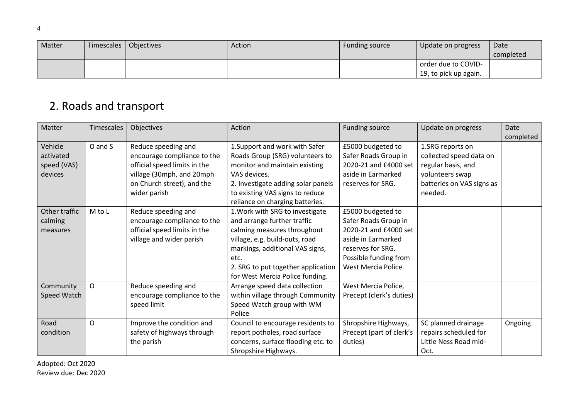| Matter | Timescales | <b>Objectives</b> | Action | Funding source | Update on progress    | Date      |
|--------|------------|-------------------|--------|----------------|-----------------------|-----------|
|        |            |                   |        |                |                       | completed |
|        |            |                   |        |                | order due to COVID-   |           |
|        |            |                   |        |                | 19, to pick up again. |           |

### 2. Roads and transport

<span id="page-3-0"></span>

| Matter        | <b>Timescales</b> | Objectives                   | Action                             | Funding source           | Update on progress        | Date      |
|---------------|-------------------|------------------------------|------------------------------------|--------------------------|---------------------------|-----------|
|               |                   |                              |                                    |                          |                           | completed |
| Vehicle       | O and S           | Reduce speeding and          | 1. Support and work with Safer     | £5000 budgeted to        | 1.SRG reports on          |           |
| activated     |                   | encourage compliance to the  | Roads Group (SRG) volunteers to    | Safer Roads Group in     | collected speed data on   |           |
| speed (VAS)   |                   | official speed limits in the | monitor and maintain existing      | 2020-21 and £4000 set    | regular basis, and        |           |
| devices       |                   | village (30mph, and 20mph    | VAS devices.                       | aside in Earmarked       | volunteers swap           |           |
|               |                   | on Church street), and the   | 2. Investigate adding solar panels | reserves for SRG.        | batteries on VAS signs as |           |
|               |                   | wider parish                 | to existing VAS signs to reduce    |                          | needed.                   |           |
|               |                   |                              | reliance on charging batteries.    |                          |                           |           |
| Other traffic | M to L            | Reduce speeding and          | 1. Work with SRG to investigate    | £5000 budgeted to        |                           |           |
| calming       |                   | encourage compliance to the  | and arrange further traffic        | Safer Roads Group in     |                           |           |
| measures      |                   | official speed limits in the | calming measures throughout        | 2020-21 and £4000 set    |                           |           |
|               |                   | village and wider parish     | village, e.g. build-outs, road     | aside in Earmarked       |                           |           |
|               |                   |                              | markings, additional VAS signs,    | reserves for SRG.        |                           |           |
|               |                   |                              | etc.                               | Possible funding from    |                           |           |
|               |                   |                              | 2. SRG to put together application | West Mercia Police.      |                           |           |
|               |                   |                              | for West Mercia Police funding.    |                          |                           |           |
| Community     | O                 | Reduce speeding and          | Arrange speed data collection      | West Mercia Police,      |                           |           |
| Speed Watch   |                   | encourage compliance to the  | within village through Community   | Precept (clerk's duties) |                           |           |
|               |                   | speed limit                  | Speed Watch group with WM          |                          |                           |           |
|               |                   |                              | Police                             |                          |                           |           |
| Road          | O                 | Improve the condition and    | Council to encourage residents to  | Shropshire Highways,     | SC planned drainage       | Ongoing   |
| condition     |                   | safety of highways through   | report potholes, road surface      | Precept (part of clerk's | repairs scheduled for     |           |
|               |                   | the parish                   | concerns, surface flooding etc. to | duties)                  | Little Ness Road mid-     |           |
|               |                   |                              | Shropshire Highways.               |                          | Oct.                      |           |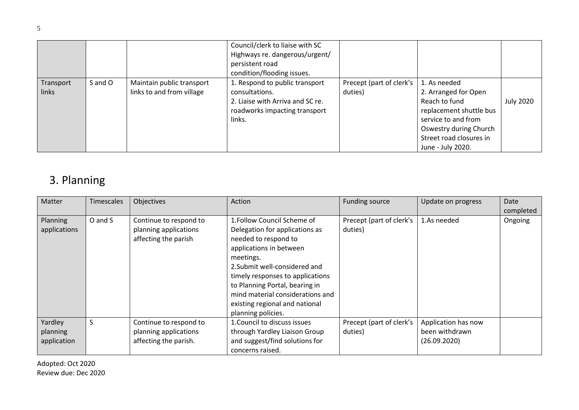|                    |         |                                                        | Council/clerk to liaise with SC<br>Highways re. dangerous/urgent/<br>persistent road<br>condition/flooding issues.              |                                     |                                                                                                                                                                                   |                  |
|--------------------|---------|--------------------------------------------------------|---------------------------------------------------------------------------------------------------------------------------------|-------------------------------------|-----------------------------------------------------------------------------------------------------------------------------------------------------------------------------------|------------------|
| Transport<br>links | S and O | Maintain public transport<br>links to and from village | 1. Respond to public transport<br>consultations.<br>2. Liaise with Arriva and SC re.<br>roadworks impacting transport<br>links. | Precept (part of clerk's<br>duties) | 1. As needed<br>2. Arranged for Open<br>Reach to fund<br>replacement shuttle bus<br>service to and from<br>Oswestry during Church<br>Street road closures in<br>June - July 2020. | <b>July 2020</b> |

### 3. Planning

<span id="page-4-0"></span>

| Matter                          | <b>Timescales</b> | Objectives                                                              | Action                                                                                                                                                                                                                                                                                                                           | <b>Funding source</b>               | Update on progress  | Date      |
|---------------------------------|-------------------|-------------------------------------------------------------------------|----------------------------------------------------------------------------------------------------------------------------------------------------------------------------------------------------------------------------------------------------------------------------------------------------------------------------------|-------------------------------------|---------------------|-----------|
|                                 |                   |                                                                         |                                                                                                                                                                                                                                                                                                                                  |                                     |                     | completed |
| <b>Planning</b><br>applications | O and S           | Continue to respond to<br>planning applications<br>affecting the parish | 1. Follow Council Scheme of<br>Delegation for applications as<br>needed to respond to<br>applications in between<br>meetings.<br>2. Submit well-considered and<br>timely responses to applications<br>to Planning Portal, bearing in<br>mind material considerations and<br>existing regional and national<br>planning policies. | Precept (part of clerk's<br>duties) | 1.As needed         | Ongoing   |
| Yardley                         | S                 | Continue to respond to                                                  | 1. Council to discuss issues                                                                                                                                                                                                                                                                                                     | Precept (part of clerk's            | Application has now |           |
| planning                        |                   | planning applications                                                   | through Yardley Liaison Group                                                                                                                                                                                                                                                                                                    | duties)                             | been withdrawn      |           |
| application                     |                   | affecting the parish.                                                   | and suggest/find solutions for<br>concerns raised.                                                                                                                                                                                                                                                                               |                                     | (26.09.2020)        |           |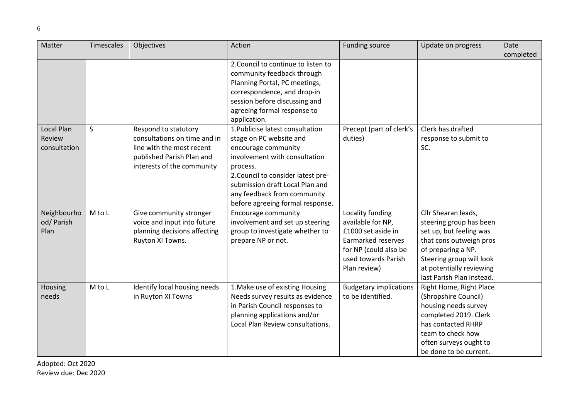| Matter       | Timescales | Objectives                   | Action                              | <b>Funding source</b>         | Update on progress        | Date      |
|--------------|------------|------------------------------|-------------------------------------|-------------------------------|---------------------------|-----------|
|              |            |                              |                                     |                               |                           | completed |
|              |            |                              | 2. Council to continue to listen to |                               |                           |           |
|              |            |                              | community feedback through          |                               |                           |           |
|              |            |                              | Planning Portal, PC meetings,       |                               |                           |           |
|              |            |                              | correspondence, and drop-in         |                               |                           |           |
|              |            |                              | session before discussing and       |                               |                           |           |
|              |            |                              | agreeing formal response to         |                               |                           |           |
|              |            |                              | application.                        |                               |                           |           |
| Local Plan   | S          | Respond to statutory         | 1. Publicise latest consultation    | Precept (part of clerk's      | Clerk has drafted         |           |
| Review       |            | consultations on time and in | stage on PC website and             | duties)                       | response to submit to     |           |
| consultation |            | line with the most recent    | encourage community                 |                               | SC.                       |           |
|              |            | published Parish Plan and    | involvement with consultation       |                               |                           |           |
|              |            | interests of the community   | process.                            |                               |                           |           |
|              |            |                              | 2. Council to consider latest pre-  |                               |                           |           |
|              |            |                              | submission draft Local Plan and     |                               |                           |           |
|              |            |                              | any feedback from community         |                               |                           |           |
|              |            |                              | before agreeing formal response.    |                               |                           |           |
| Neighbourho  | M to L     | Give community stronger      | Encourage community                 | Locality funding              | Cllr Shearan leads,       |           |
| od/ Parish   |            | voice and input into future  | involvement and set up steering     | available for NP,             | steering group has been   |           |
| Plan         |            | planning decisions affecting | group to investigate whether to     | £1000 set aside in            | set up, but feeling was   |           |
|              |            | Ruyton XI Towns.             | prepare NP or not.                  | Earmarked reserves            | that cons outweigh pros   |           |
|              |            |                              |                                     | for NP (could also be         | of preparing a NP.        |           |
|              |            |                              |                                     | used towards Parish           | Steering group will look  |           |
|              |            |                              |                                     | Plan review)                  | at potentially reviewing  |           |
|              |            |                              |                                     |                               | last Parish Plan instead. |           |
| Housing      | M to L     | Identify local housing needs | 1. Make use of existing Housing     | <b>Budgetary implications</b> | Right Home, Right Place   |           |
| needs        |            | in Ruyton XI Towns           | Needs survey results as evidence    | to be identified.             | (Shropshire Council)      |           |
|              |            |                              | in Parish Council responses to      |                               | housing needs survey      |           |
|              |            |                              | planning applications and/or        |                               | completed 2019. Clerk     |           |
|              |            |                              | Local Plan Review consultations.    |                               | has contacted RHRP        |           |
|              |            |                              |                                     |                               | team to check how         |           |
|              |            |                              |                                     |                               | often surveys ought to    |           |
|              |            |                              |                                     |                               | be done to be current.    |           |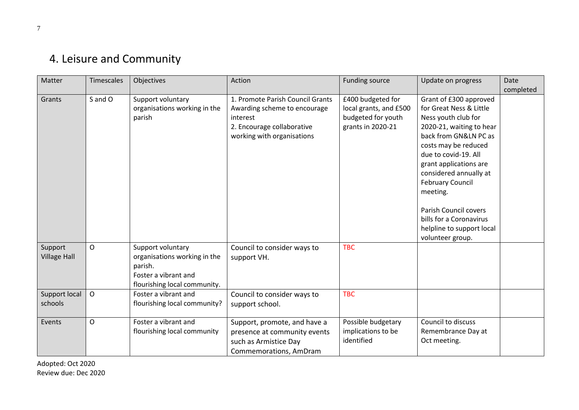## 4. Leisure and Community

<span id="page-6-0"></span>

| Matter                         | <b>Timescales</b> | Objectives                                                                                                           | Action                                                                                                                                   | <b>Funding source</b>                                                                  | Update on progress                                                                                                                                                                                                                                                                                                                                                            | Date<br>completed |
|--------------------------------|-------------------|----------------------------------------------------------------------------------------------------------------------|------------------------------------------------------------------------------------------------------------------------------------------|----------------------------------------------------------------------------------------|-------------------------------------------------------------------------------------------------------------------------------------------------------------------------------------------------------------------------------------------------------------------------------------------------------------------------------------------------------------------------------|-------------------|
| Grants                         | S and O           | Support voluntary<br>organisations working in the<br>parish                                                          | 1. Promote Parish Council Grants<br>Awarding scheme to encourage<br>interest<br>2. Encourage collaborative<br>working with organisations | £400 budgeted for<br>local grants, and £500<br>budgeted for youth<br>grants in 2020-21 | Grant of £300 approved<br>for Great Ness & Little<br>Ness youth club for<br>2020-21, waiting to hear<br>back from GN&LN PC as<br>costs may be reduced<br>due to covid-19. All<br>grant applications are<br>considered annually at<br><b>February Council</b><br>meeting.<br>Parish Council covers<br>bills for a Coronavirus<br>helpline to support local<br>volunteer group. |                   |
| Support<br><b>Village Hall</b> | $\mathsf{O}$      | Support voluntary<br>organisations working in the<br>parish.<br>Foster a vibrant and<br>flourishing local community. | Council to consider ways to<br>support VH.                                                                                               | <b>TBC</b>                                                                             |                                                                                                                                                                                                                                                                                                                                                                               |                   |
| Support local<br>schools       | $\mathsf{O}$      | Foster a vibrant and<br>flourishing local community?                                                                 | Council to consider ways to<br>support school.                                                                                           | <b>TBC</b>                                                                             |                                                                                                                                                                                                                                                                                                                                                                               |                   |
| Events                         | 0                 | Foster a vibrant and<br>flourishing local community                                                                  | Support, promote, and have a<br>presence at community events<br>such as Armistice Day<br>Commemorations, AmDram                          | Possible budgetary<br>implications to be<br>identified                                 | Council to discuss<br>Remembrance Day at<br>Oct meeting.                                                                                                                                                                                                                                                                                                                      |                   |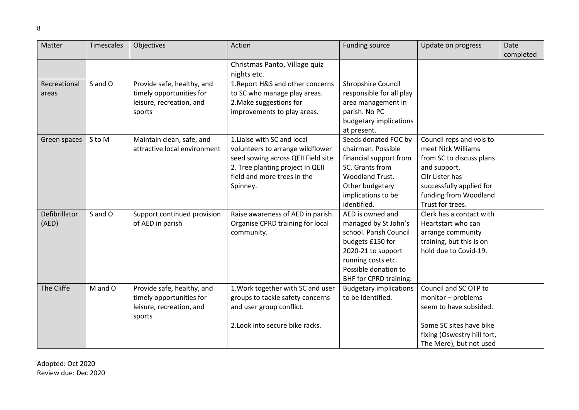| Matter        | <b>Timescales</b> | Objectives                   | Action                              | Funding source                | Update on progress          | Date      |
|---------------|-------------------|------------------------------|-------------------------------------|-------------------------------|-----------------------------|-----------|
|               |                   |                              |                                     |                               |                             | completed |
|               |                   |                              | Christmas Panto, Village quiz       |                               |                             |           |
|               |                   |                              | nights etc.                         |                               |                             |           |
| Recreational  | S and O           | Provide safe, healthy, and   | 1. Report H&S and other concerns    | Shropshire Council            |                             |           |
| areas         |                   | timely opportunities for     | to SC who manage play areas.        | responsible for all play      |                             |           |
|               |                   | leisure, recreation, and     | 2. Make suggestions for             | area management in            |                             |           |
|               |                   | sports                       | improvements to play areas.         | parish. No PC                 |                             |           |
|               |                   |                              |                                     | budgetary implications        |                             |           |
|               |                   |                              |                                     | at present.                   |                             |           |
| Green spaces  | S to M            | Maintain clean, safe, and    | 1. Liaise with SC and local         | Seeds donated FOC by          | Council reps and vols to    |           |
|               |                   | attractive local environment | volunteers to arrange wildflower    | chairman. Possible            | meet Nick Williams          |           |
|               |                   |                              | seed sowing across QEII Field site. | financial support from        | from SC to discuss plans    |           |
|               |                   |                              | 2. Tree planting project in QEII    | SC. Grants from               | and support.                |           |
|               |                   |                              | field and more trees in the         | Woodland Trust.               | Cllr Lister has             |           |
|               |                   |                              | Spinney.                            | Other budgetary               | successfully applied for    |           |
|               |                   |                              |                                     | implications to be            | funding from Woodland       |           |
|               |                   |                              |                                     | identified.                   | Trust for trees.            |           |
| Defibrillator | S and O           | Support continued provision  | Raise awareness of AED in parish.   | AED is owned and              | Clerk has a contact with    |           |
| (AED)         |                   | of AED in parish             | Organise CPRD training for local    | managed by St John's          | Heartstart who can          |           |
|               |                   |                              | community.                          | school. Parish Council        | arrange community           |           |
|               |                   |                              |                                     | budgets £150 for              | training, but this is on    |           |
|               |                   |                              |                                     | 2020-21 to support            | hold due to Covid-19.       |           |
|               |                   |                              |                                     | running costs etc.            |                             |           |
|               |                   |                              |                                     | Possible donation to          |                             |           |
|               |                   |                              |                                     | BHF for CPRD training.        |                             |           |
| The Cliffe    | M and O           | Provide safe, healthy, and   | 1. Work together with SC and user   | <b>Budgetary implications</b> | Council and SC OTP to       |           |
|               |                   | timely opportunities for     | groups to tackle safety concerns    | to be identified.             | monitor - problems          |           |
|               |                   | leisure, recreation, and     | and user group conflict.            |                               | seem to have subsided.      |           |
|               |                   | sports                       |                                     |                               |                             |           |
|               |                   |                              | 2. Look into secure bike racks.     |                               | Some SC sites have bike     |           |
|               |                   |                              |                                     |                               | fixing (Oswestry hill fort, |           |
|               |                   |                              |                                     |                               | The Mere), but not used     |           |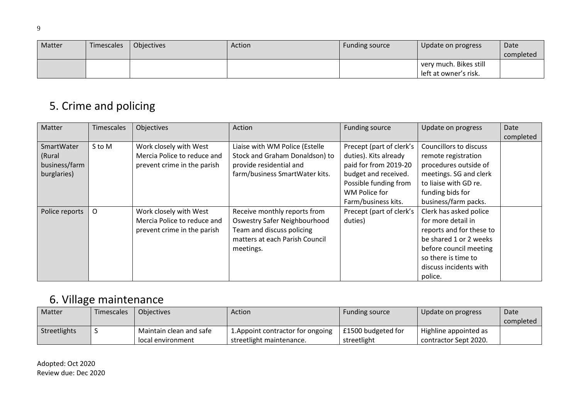| Matter | Timescales | Objectives | Action | Funding source | Update on progress                              | Date<br>completed |
|--------|------------|------------|--------|----------------|-------------------------------------------------|-------------------|
|        |            |            |        |                | very much. Bikes still<br>left at owner's risk. |                   |

## 5. Crime and policing

<span id="page-8-0"></span>

| Matter                                               | <b>Timescales</b> | Objectives                                                                           | Action                                                                                                                                   | Funding source                                                                                                                               | Update on progress                                                                                                                                                                       | Date      |
|------------------------------------------------------|-------------------|--------------------------------------------------------------------------------------|------------------------------------------------------------------------------------------------------------------------------------------|----------------------------------------------------------------------------------------------------------------------------------------------|------------------------------------------------------------------------------------------------------------------------------------------------------------------------------------------|-----------|
|                                                      |                   |                                                                                      |                                                                                                                                          |                                                                                                                                              |                                                                                                                                                                                          | completed |
| SmartWater<br>(Rural<br>business/farm<br>burglaries) | S to M            | Work closely with West<br>Mercia Police to reduce and<br>prevent crime in the parish | Liaise with WM Police (Estelle<br>Stock and Graham Donaldson) to<br>provide residential and<br>farm/business SmartWater kits.            | Precept (part of clerk's<br>duties). Kits already<br>paid for from 2019-20<br>budget and received.<br>Possible funding from<br>WM Police for | Councillors to discuss<br>remote registration<br>procedures outside of<br>meetings. SG and clerk<br>to liaise with GD re.<br>funding bids for                                            |           |
|                                                      |                   |                                                                                      |                                                                                                                                          | Farm/business kits.                                                                                                                          | business/farm packs.                                                                                                                                                                     |           |
| Police reports                                       | 0                 | Work closely with West<br>Mercia Police to reduce and<br>prevent crime in the parish | Receive monthly reports from<br>Oswestry Safer Neighbourhood<br>Team and discuss policing<br>matters at each Parish Council<br>meetings. | Precept (part of clerk's<br>duties)                                                                                                          | Clerk has asked police<br>for more detail in<br>reports and for these to<br>be shared 1 or 2 weeks<br>before council meeting<br>so there is time to<br>discuss incidents with<br>police. |           |

## 6. Village maintenance

<span id="page-8-1"></span>

| <b>Matter</b> | Timescales | <b>Objectives</b>                            | Action                                                        | <b>Funding source</b>             | Update on progress                             | Date<br>completed |
|---------------|------------|----------------------------------------------|---------------------------------------------------------------|-----------------------------------|------------------------------------------------|-------------------|
| Streetlights  |            | Maintain clean and safe<br>local environment | 1. Appoint contractor for ongoing<br>streetlight maintenance. | £1500 budgeted for<br>streetlight | Highline appointed as<br>contractor Sept 2020. |                   |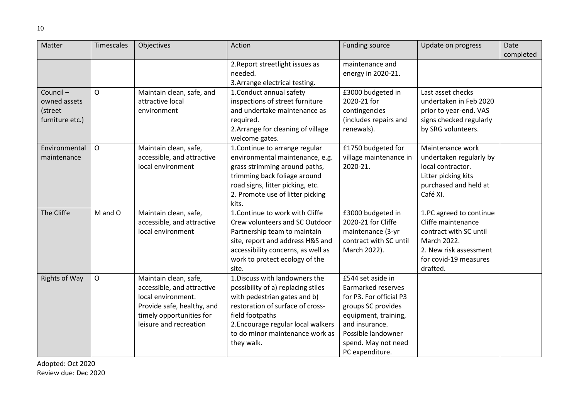| Matter          | Timescales   | Objectives                 | Action                             | <b>Funding source</b>   | Update on progress      | Date      |
|-----------------|--------------|----------------------------|------------------------------------|-------------------------|-------------------------|-----------|
|                 |              |                            |                                    |                         |                         | completed |
|                 |              |                            | 2. Report streetlight issues as    | maintenance and         |                         |           |
|                 |              |                            | needed.                            | energy in 2020-21.      |                         |           |
|                 |              |                            | 3. Arrange electrical testing.     |                         |                         |           |
| Council-        | $\mathsf{O}$ | Maintain clean, safe, and  | 1. Conduct annual safety           | £3000 budgeted in       | Last asset checks       |           |
| owned assets    |              | attractive local           | inspections of street furniture    | 2020-21 for             | undertaken in Feb 2020  |           |
| (street         |              | environment                | and undertake maintenance as       | contingencies           | prior to year-end. VAS  |           |
| furniture etc.) |              |                            | required.                          | (includes repairs and   | signs checked regularly |           |
|                 |              |                            | 2. Arrange for cleaning of village | renewals).              | by SRG volunteers.      |           |
|                 |              |                            | welcome gates.                     |                         |                         |           |
| Environmental   | $\mathsf{O}$ | Maintain clean, safe,      | 1. Continue to arrange regular     | £1750 budgeted for      | Maintenance work        |           |
| maintenance     |              | accessible, and attractive | environmental maintenance, e.g.    | village maintenance in  | undertaken regularly by |           |
|                 |              | local environment          | grass strimming around paths,      | 2020-21.                | local contractor.       |           |
|                 |              |                            | trimming back foliage around       |                         | Litter picking kits     |           |
|                 |              |                            | road signs, litter picking, etc.   |                         | purchased and held at   |           |
|                 |              |                            | 2. Promote use of litter picking   |                         | Café XI.                |           |
|                 |              |                            | kits.                              |                         |                         |           |
| The Cliffe      | M and O      | Maintain clean, safe,      | 1. Continue to work with Cliffe    | £3000 budgeted in       | 1.PC agreed to continue |           |
|                 |              | accessible, and attractive | Crew volunteers and SC Outdoor     | 2020-21 for Cliffe      | Cliffe maintenance      |           |
|                 |              | local environment          | Partnership team to maintain       | maintenance (3-yr       | contract with SC until  |           |
|                 |              |                            | site, report and address H&S and   | contract with SC until  | March 2022.             |           |
|                 |              |                            | accessibility concerns, as well as | March 2022).            | 2. New risk assessment  |           |
|                 |              |                            | work to protect ecology of the     |                         | for covid-19 measures   |           |
|                 |              |                            | site.                              |                         | drafted.                |           |
| Rights of Way   | $\mathsf{O}$ | Maintain clean, safe,      | 1. Discuss with landowners the     | £544 set aside in       |                         |           |
|                 |              | accessible, and attractive | possibility of a) replacing stiles | Earmarked reserves      |                         |           |
|                 |              | local environment.         | with pedestrian gates and b)       | for P3. For official P3 |                         |           |
|                 |              | Provide safe, healthy, and | restoration of surface of cross-   | groups SC provides      |                         |           |
|                 |              | timely opportunities for   | field footpaths                    | equipment, training,    |                         |           |
|                 |              | leisure and recreation     | 2. Encourage regular local walkers | and insurance.          |                         |           |
|                 |              |                            | to do minor maintenance work as    | Possible landowner      |                         |           |
|                 |              |                            | they walk.                         | spend. May not need     |                         |           |
|                 |              |                            |                                    | PC expenditure.         |                         |           |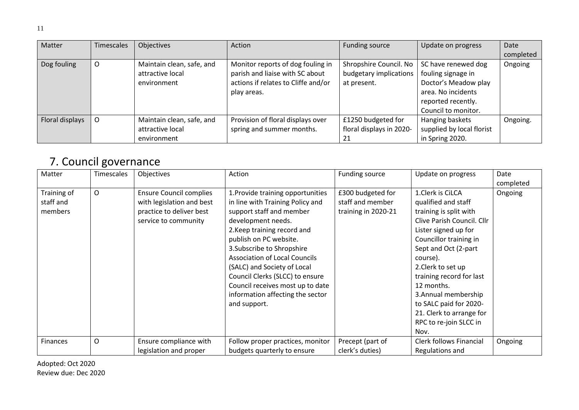| Matter          | Timescales | Objectives                                                   | Action                                                                                                                     | Funding source                                                  | Update on progress                                                                                            | Date      |
|-----------------|------------|--------------------------------------------------------------|----------------------------------------------------------------------------------------------------------------------------|-----------------------------------------------------------------|---------------------------------------------------------------------------------------------------------------|-----------|
|                 |            |                                                              |                                                                                                                            |                                                                 |                                                                                                               | completed |
| Dog fouling     | U          | Maintain clean, safe, and<br>attractive local<br>environment | Monitor reports of dog fouling in<br>parish and liaise with SC about<br>actions if relates to Cliffe and/or<br>play areas. | Shropshire Council. No<br>budgetary implications<br>at present. | SC have renewed dog<br>fouling signage in<br>Doctor's Meadow play<br>area. No incidents<br>reported recently. | Ongoing   |
|                 |            |                                                              |                                                                                                                            |                                                                 | Council to monitor.                                                                                           |           |
| Floral displays |            | Maintain clean, safe, and<br>attractive local<br>environment | Provision of floral displays over<br>spring and summer months.                                                             | £1250 budgeted for<br>floral displays in 2020-<br>21            | Hanging baskets<br>supplied by local florist<br>in Spring 2020.                                               | Ongoing.  |

#### 7. Council governance

<span id="page-10-0"></span>

| Matter      | Timescales | Objectives                     | Action                               | Funding source      | Update on progress             | Date      |
|-------------|------------|--------------------------------|--------------------------------------|---------------------|--------------------------------|-----------|
|             |            |                                |                                      |                     |                                | completed |
| Training of | O          | <b>Ensure Council complies</b> | 1. Provide training opportunities    | £300 budgeted for   | 1.Clerk is CiLCA               | Ongoing   |
| staff and   |            | with legislation and best      | in line with Training Policy and     | staff and member    | qualified and staff            |           |
| members     |            | practice to deliver best       | support staff and member             | training in 2020-21 | training is split with         |           |
|             |            | service to community           | development needs.                   |                     | Clive Parish Council. Cllr     |           |
|             |            |                                | 2. Keep training record and          |                     | Lister signed up for           |           |
|             |            |                                | publish on PC website.               |                     | Councillor training in         |           |
|             |            |                                | 3. Subscribe to Shropshire           |                     | Sept and Oct (2-part           |           |
|             |            |                                | <b>Association of Local Councils</b> |                     | course).                       |           |
|             |            |                                | (SALC) and Society of Local          |                     | 2. Clerk to set up             |           |
|             |            |                                | Council Clerks (SLCC) to ensure      |                     | training record for last       |           |
|             |            |                                | Council receives most up to date     |                     | 12 months.                     |           |
|             |            |                                | information affecting the sector     |                     | 3. Annual membership           |           |
|             |            |                                | and support.                         |                     | to SALC paid for 2020-         |           |
|             |            |                                |                                      |                     | 21. Clerk to arrange for       |           |
|             |            |                                |                                      |                     | RPC to re-join SLCC in         |           |
|             |            |                                |                                      |                     | Nov.                           |           |
| Finances    | O          | Ensure compliance with         | Follow proper practices, monitor     | Precept (part of    | <b>Clerk follows Financial</b> | Ongoing   |
|             |            | legislation and proper         | budgets quarterly to ensure          | clerk's duties)     | Regulations and                |           |